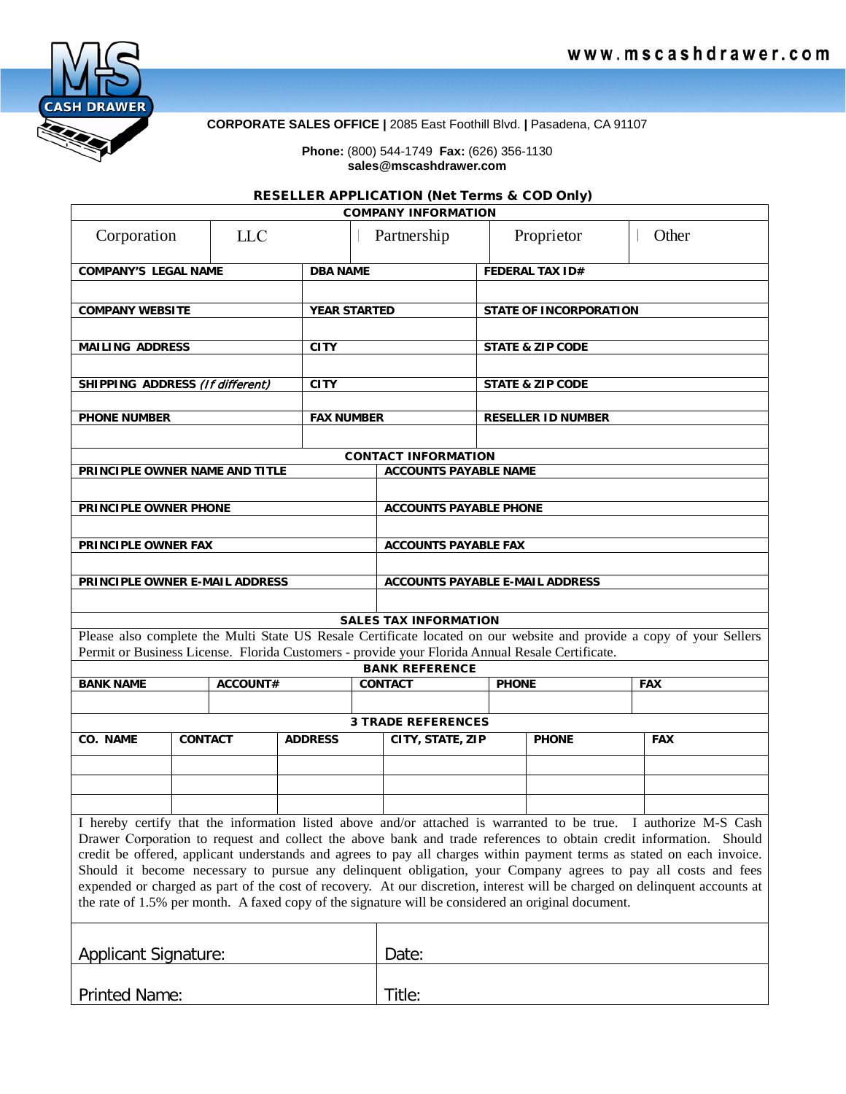

**CORPORATE SALES OFFICE |** 2085 East Foothill Blvd. **|** Pasadena, CA 91107

## **Phone:** (800) 544-1749 **Fax:** (626) 356-1130 **sales@mscashdrawer.com**

## RESELLER APPLICATION (Net Terms & COD Only)